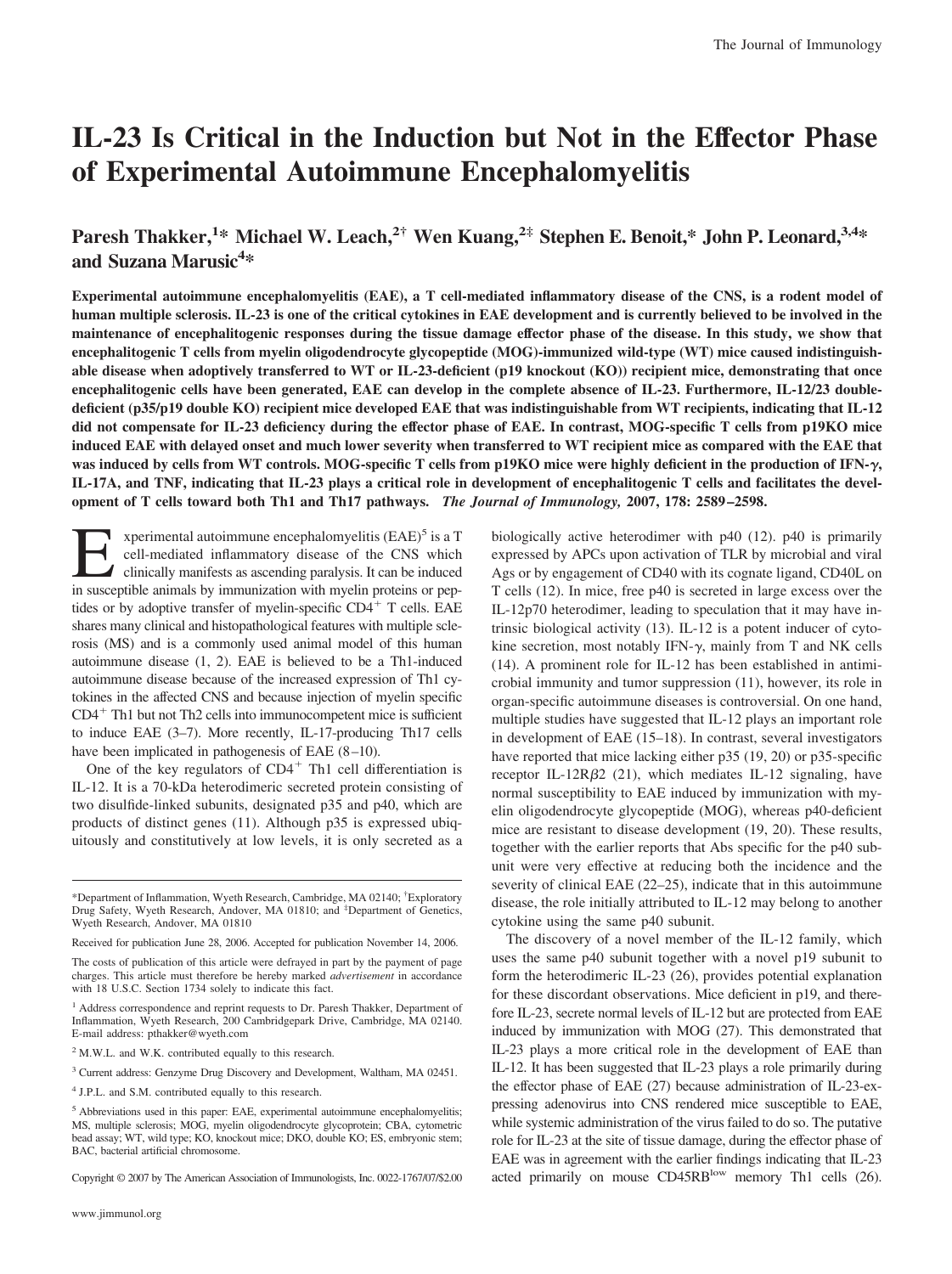# **IL-23 Is Critical in the Induction but Not in the Effector Phase of Experimental Autoimmune Encephalomyelitis**

# **Paresh Thakker,<sup>1</sup> \* Michael W. Leach,2† Wen Kuang,2‡ Stephen E. Benoit,\* John P. Leonard,3,4\*** and Suzana Marusic<sup>4\*</sup>

**Experimental autoimmune encephalomyelitis (EAE), a T cell-mediated inflammatory disease of the CNS, is a rodent model of human multiple sclerosis. IL-23 is one of the critical cytokines in EAE development and is currently believed to be involved in the maintenance of encephalitogenic responses during the tissue damage effector phase of the disease. In this study, we show that encephalitogenic T cells from myelin oligodendrocyte glycopeptide (MOG)-immunized wild-type (WT) mice caused indistinguishable disease when adoptively transferred to WT or IL-23-deficient (p19 knockout (KO)) recipient mice, demonstrating that once encephalitogenic cells have been generated, EAE can develop in the complete absence of IL-23. Furthermore, IL-12/23 doubledeficient (p35/p19 double KO) recipient mice developed EAE that was indistinguishable from WT recipients, indicating that IL-12 did not compensate for IL-23 deficiency during the effector phase of EAE. In contrast, MOG-specific T cells from p19KO mice induced EAE with delayed onset and much lower severity when transferred to WT recipient mice as compared with the EAE that was induced by cells from WT controls. MOG-specific T cells from p19KO mice were highly deficient in the production of IFN-, IL-17A, and TNF, indicating that IL-23 plays a critical role in development of encephalitogenic T cells and facilitates the development of T cells toward both Th1 and Th17 pathways.** *The Journal of Immunology,* **2007, 178: 2589–2598.**

**Experimental autoimmune encephalomyelitis (EAE)<sup>5</sup> is a T cell-mediated inflammatory disease of the CNS which clinically manifests as ascending paralysis. It can be induced in susceptible animals by immunization with myel** cell-mediated inflammatory disease of the CNS which clinically manifests as ascending paralysis. It can be induced in susceptible animals by immunization with myelin proteins or peptides or by adoptive transfer of myelin-specific  $CD4^+$  T cells. EAE shares many clinical and histopathological features with multiple sclerosis (MS) and is a commonly used animal model of this human autoimmune disease (1, 2). EAE is believed to be a Th1-induced autoimmune disease because of the increased expression of Th1 cytokines in the affected CNS and because injection of myelin specific  $CD4<sup>+</sup>$  Th1 but not Th2 cells into immunocompetent mice is sufficient to induce EAE (3–7). More recently, IL-17-producing Th17 cells have been implicated in pathogenesis of EAE  $(8-10)$ .

One of the key regulators of  $CD4<sup>+</sup>$  Th1 cell differentiation is IL-12. It is a 70-kDa heterodimeric secreted protein consisting of two disulfide-linked subunits, designated p35 and p40, which are products of distinct genes (11). Although p35 is expressed ubiquitously and constitutively at low levels, it is only secreted as a

Copyright © 2007 by The American Association of Immunologists, Inc. 0022-1767/07/\$2.00

biologically active heterodimer with p40 (12). p40 is primarily expressed by APCs upon activation of TLR by microbial and viral Ags or by engagement of CD40 with its cognate ligand, CD40L on T cells (12). In mice, free p40 is secreted in large excess over the IL-12p70 heterodimer, leading to speculation that it may have intrinsic biological activity (13). IL-12 is a potent inducer of cytokine secretion, most notably IFN- $\gamma$ , mainly from T and NK cells (14). A prominent role for IL-12 has been established in antimicrobial immunity and tumor suppression (11), however, its role in organ-specific autoimmune diseases is controversial. On one hand, multiple studies have suggested that IL-12 plays an important role in development of EAE (15–18). In contrast, several investigators have reported that mice lacking either p35 (19, 20) or p35-specific receptor IL-12R $\beta$ 2 (21), which mediates IL-12 signaling, have normal susceptibility to EAE induced by immunization with myelin oligodendrocyte glycopeptide (MOG), whereas p40-deficient mice are resistant to disease development (19, 20). These results, together with the earlier reports that Abs specific for the p40 subunit were very effective at reducing both the incidence and the severity of clinical EAE (22–25), indicate that in this autoimmune disease, the role initially attributed to IL-12 may belong to another cytokine using the same p40 subunit.

The discovery of a novel member of the IL-12 family, which uses the same p40 subunit together with a novel p19 subunit to form the heterodimeric IL-23 (26), provides potential explanation for these discordant observations. Mice deficient in p19, and therefore IL-23, secrete normal levels of IL-12 but are protected from EAE induced by immunization with MOG (27). This demonstrated that IL-23 plays a more critical role in the development of EAE than IL-12. It has been suggested that IL-23 plays a role primarily during the effector phase of EAE (27) because administration of IL-23-expressing adenovirus into CNS rendered mice susceptible to EAE, while systemic administration of the virus failed to do so. The putative role for IL-23 at the site of tissue damage, during the effector phase of EAE was in agreement with the earlier findings indicating that IL-23 acted primarily on mouse CD45RB<sup>low</sup> memory Th1 cells (26).

<sup>\*</sup>Department of Inflammation, Wyeth Research, Cambridge, MA 02140; † Exploratory Drug Safety, Wyeth Research, Andover, MA 01810; and <sup>#</sup>Department of Genetics, Wyeth Research, Andover, MA 01810

Received for publication June 28, 2006. Accepted for publication November 14, 2006.

The costs of publication of this article were defrayed in part by the payment of page charges. This article must therefore be hereby marked *advertisement* in accordance with 18 U.S.C. Section 1734 solely to indicate this fact.

<sup>&</sup>lt;sup>1</sup> Address correspondence and reprint requests to Dr. Paresh Thakker, Department of Inflammation, Wyeth Research, 200 Cambridgepark Drive, Cambridge, MA 02140. E-mail address: pthakker@wyeth.com

<sup>2</sup> M.W.L. and W.K. contributed equally to this research.

<sup>3</sup> Current address: Genzyme Drug Discovery and Development, Waltham, MA 02451.

<sup>4</sup> J.P.L. and S.M. contributed equally to this research.

<sup>&</sup>lt;sup>5</sup> Abbreviations used in this paper: EAE, experimental autoimmune encephalomyelitis; MS, multiple sclerosis; MOG, myelin oligodendrocyte glycoprotein; CBA, cytometric bead assay; WT, wild type; KO, knockout mice; DKO, double KO; ES, embryonic stem; BAC, bacterial artificial chromosome.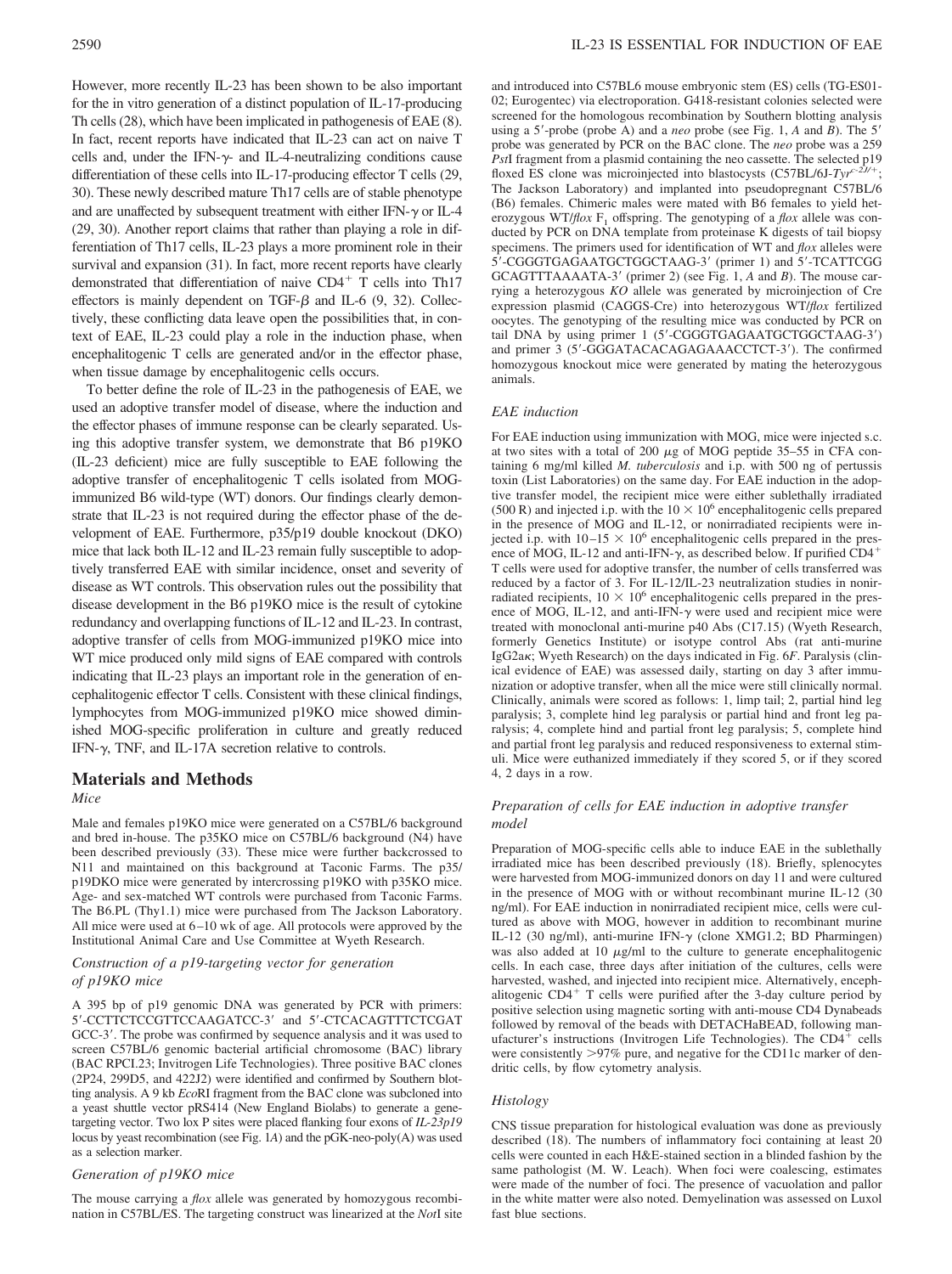However, more recently IL-23 has been shown to be also important for the in vitro generation of a distinct population of IL-17-producing Th cells (28), which have been implicated in pathogenesis of EAE (8). In fact, recent reports have indicated that IL-23 can act on naive T cells and, under the IFN- $\gamma$ - and IL-4-neutralizing conditions cause differentiation of these cells into IL-17-producing effector T cells (29, 30). These newly described mature Th17 cells are of stable phenotype and are unaffected by subsequent treatment with either IFN- $\gamma$  or IL-4 (29, 30). Another report claims that rather than playing a role in differentiation of Th17 cells, IL-23 plays a more prominent role in their survival and expansion (31). In fact, more recent reports have clearly demonstrated that differentiation of naive CD4<sup>+</sup> T cells into Th17 effectors is mainly dependent on TGF- $\beta$  and IL-6 (9, 32). Collectively, these conflicting data leave open the possibilities that, in context of EAE, IL-23 could play a role in the induction phase, when encephalitogenic T cells are generated and/or in the effector phase, when tissue damage by encephalitogenic cells occurs.

To better define the role of IL-23 in the pathogenesis of EAE, we used an adoptive transfer model of disease, where the induction and the effector phases of immune response can be clearly separated. Using this adoptive transfer system, we demonstrate that B6 p19KO (IL-23 deficient) mice are fully susceptible to EAE following the adoptive transfer of encephalitogenic T cells isolated from MOGimmunized B6 wild-type (WT) donors. Our findings clearly demonstrate that IL-23 is not required during the effector phase of the development of EAE. Furthermore, p35/p19 double knockout (DKO) mice that lack both IL-12 and IL-23 remain fully susceptible to adoptively transferred EAE with similar incidence, onset and severity of disease as WT controls. This observation rules out the possibility that disease development in the B6 p19KO mice is the result of cytokine redundancy and overlapping functions of IL-12 and IL-23. In contrast, adoptive transfer of cells from MOG-immunized p19KO mice into WT mice produced only mild signs of EAE compared with controls indicating that IL-23 plays an important role in the generation of encephalitogenic effector T cells. Consistent with these clinical findings, lymphocytes from MOG-immunized p19KO mice showed diminished MOG-specific proliferation in culture and greatly reduced IFN- $\gamma$ , TNF, and IL-17A secretion relative to controls.

# **Materials and Methods**

#### *Mice*

Male and females p19KO mice were generated on a C57BL/6 background and bred in-house. The p35KO mice on C57BL/6 background (N4) have been described previously (33). These mice were further backcrossed to N11 and maintained on this background at Taconic Farms. The p35/ p19DKO mice were generated by intercrossing p19KO with p35KO mice. Age- and sex-matched WT controls were purchased from Taconic Farms. The B6.PL (Thy1.1) mice were purchased from The Jackson Laboratory. All mice were used at  $6-10$  wk of age. All protocols were approved by the Institutional Animal Care and Use Committee at Wyeth Research.

## *Construction of a p19-targeting vector for generation of p19KO mice*

A 395 bp of p19 genomic DNA was generated by PCR with primers: 5'-CCTTCTCCGTTCCAAGATCC-3' and 5'-CTCACAGTTTCTCGAT GCC-3'. The probe was confirmed by sequence analysis and it was used to screen C57BL/6 genomic bacterial artificial chromosome (BAC) library (BAC RPCI.23; Invitrogen Life Technologies). Three positive BAC clones (2P24, 299D5, and 422J2) were identified and confirmed by Southern blotting analysis. A 9 kb *Eco*RI fragment from the BAC clone was subcloned into a yeast shuttle vector pRS414 (New England Biolabs) to generate a genetargeting vector. Two lox P sites were placed flanking four exons of *IL-23p19* locus by yeast recombination (see Fig. 1*A*) and the pGK-neo-poly(A) was used as a selection marker.

#### *Generation of p19KO mice*

The mouse carrying a *flox* allele was generated by homozygous recombination in C57BL/ES. The targeting construct was linearized at the *Not*I site

and introduced into C57BL6 mouse embryonic stem (ES) cells (TG-ES01- 02; Eurogentec) via electroporation. G418-resistant colonies selected were screened for the homologous recombination by Southern blotting analysis using a 5'-probe (probe A) and a *neo* probe (see Fig. 1, A and B). The 5' probe was generated by PCR on the BAC clone. The *neo* probe was a 259 *Pst*I fragment from a plasmid containing the neo cassette. The selected p19 floxed ES clone was microinjected into blastocysts (C57BL/6J-*Tyr<sup>c-2J/+</sup>*; The Jackson Laboratory) and implanted into pseudopregnant C57BL/6 (B6) females. Chimeric males were mated with B6 females to yield heterozygous WT/*flox* F<sub>1</sub> offspring. The genotyping of a *flox* allele was conducted by PCR on DNA template from proteinase K digests of tail biopsy specimens. The primers used for identification of WT and *flox* alleles were 5'-CGGGTGAGAATGCTGGCTAAG-3' (primer 1) and 5'-TCATTCGG GCAGTTTAAAATA-3' (primer 2) (see Fig. 1, A and B). The mouse carrying a heterozygous *KO* allele was generated by microinjection of Cre expression plasmid (CAGGS-Cre) into heterozygous WT/*flox* fertilized oocytes. The genotyping of the resulting mice was conducted by PCR on tail DNA by using primer 1 (5'-CGGGTGAGAATGCTGGCTAAG-3') and primer 3 (5'-GGGATACACAGAGAAACCTCT-3'). The confirmed homozygous knockout mice were generated by mating the heterozygous animals.

#### *EAE induction*

For EAE induction using immunization with MOG, mice were injected s.c. at two sites with a total of 200  $\mu$ g of MOG peptide 35–55 in CFA containing 6 mg/ml killed *M. tuberculosis* and i.p. with 500 ng of pertussis toxin (List Laboratories) on the same day. For EAE induction in the adoptive transfer model, the recipient mice were either sublethally irradiated (500 R) and injected i.p. with the  $10 \times 10^6$  encephalitogenic cells prepared in the presence of MOG and IL-12, or nonirradiated recipients were injected i.p. with  $10-15 \times 10^6$  encephalitogenic cells prepared in the presence of MOG, IL-12 and anti-IFN- $\gamma$ , as described below. If purified CD4<sup>+</sup> T cells were used for adoptive transfer, the number of cells transferred was reduced by a factor of 3. For IL-12/IL-23 neutralization studies in nonirradiated recipients,  $10 \times 10^6$  encephalitogenic cells prepared in the presence of MOG, IL-12, and anti-IFN- $\gamma$  were used and recipient mice were treated with monoclonal anti-murine p40 Abs (C17.15) (Wyeth Research, formerly Genetics Institute) or isotype control Abs (rat anti-murine IgG2a<sub>K</sub>; Wyeth Research) on the days indicated in Fig. 6*F*. Paralysis (clinical evidence of EAE) was assessed daily, starting on day 3 after immunization or adoptive transfer, when all the mice were still clinically normal. Clinically, animals were scored as follows: 1, limp tail; 2, partial hind leg paralysis; 3, complete hind leg paralysis or partial hind and front leg paralysis; 4, complete hind and partial front leg paralysis; 5, complete hind and partial front leg paralysis and reduced responsiveness to external stimuli. Mice were euthanized immediately if they scored 5, or if they scored 4, 2 days in a row.

# *Preparation of cells for EAE induction in adoptive transfer model*

Preparation of MOG-specific cells able to induce EAE in the sublethally irradiated mice has been described previously (18). Briefly, splenocytes were harvested from MOG-immunized donors on day 11 and were cultured in the presence of MOG with or without recombinant murine IL-12 (30 ng/ml). For EAE induction in nonirradiated recipient mice, cells were cultured as above with MOG, however in addition to recombinant murine IL-12 (30 ng/ml), anti-murine IFN- $\gamma$  (clone XMG1.2; BD Pharmingen) was also added at 10  $\mu$ g/ml to the culture to generate encephalitogenic cells. In each case, three days after initiation of the cultures, cells were harvested, washed, and injected into recipient mice. Alternatively, encephalitogenic  $CD4^+$  T cells were purified after the 3-day culture period by positive selection using magnetic sorting with anti-mouse CD4 Dynabeads followed by removal of the beads with DETACHaBEAD, following manufacturer's instructions (Invitrogen Life Technologies). The  $CD4^+$  cells were consistently >97% pure, and negative for the CD11c marker of dendritic cells, by flow cytometry analysis.

#### *Histology*

CNS tissue preparation for histological evaluation was done as previously described (18). The numbers of inflammatory foci containing at least 20 cells were counted in each H&E-stained section in a blinded fashion by the same pathologist (M. W. Leach). When foci were coalescing, estimates were made of the number of foci. The presence of vacuolation and pallor in the white matter were also noted. Demyelination was assessed on Luxol fast blue sections.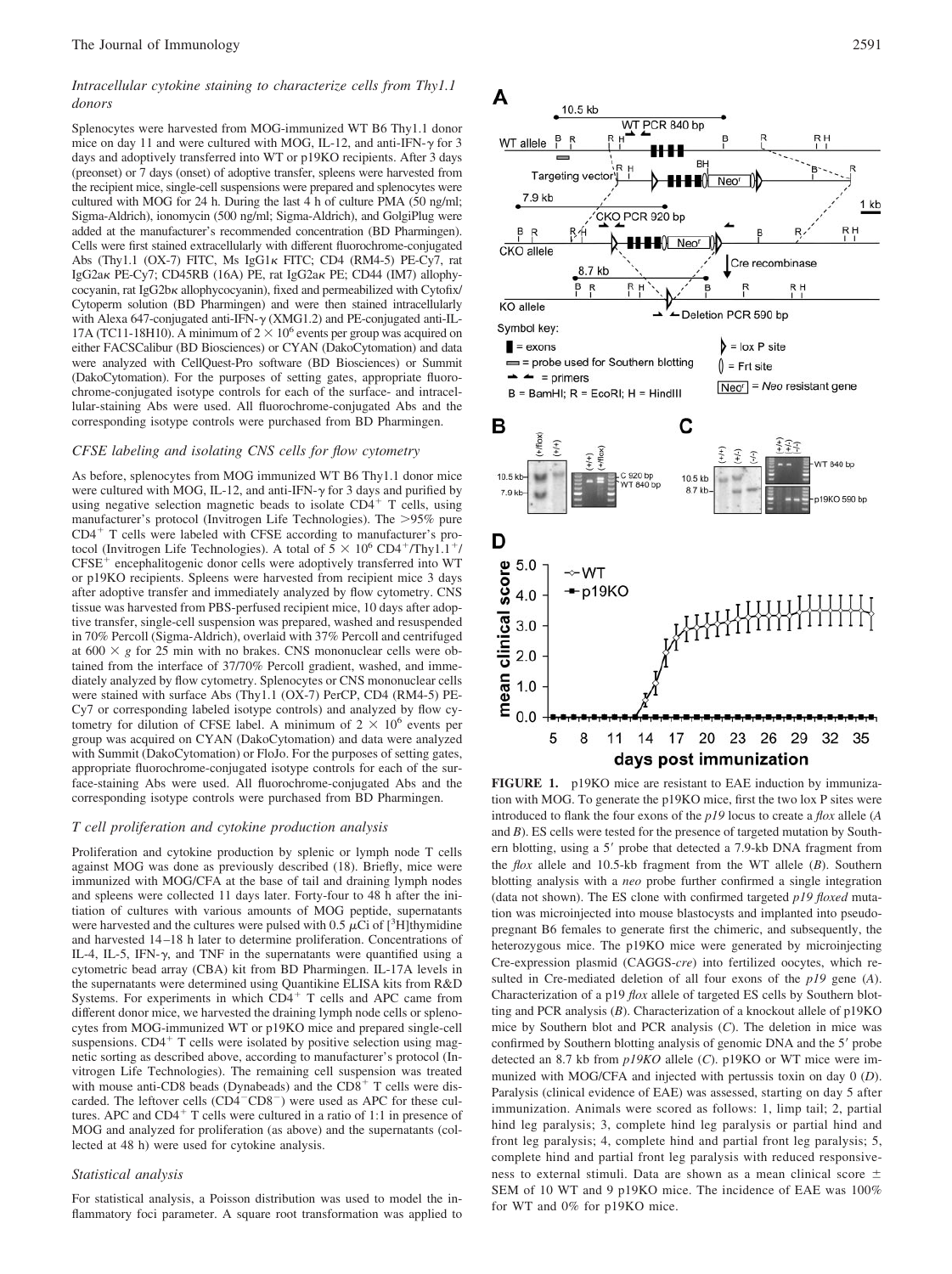# *Intracellular cytokine staining to characterize cells from Thy1.1 donors*

Splenocytes were harvested from MOG-immunized WT B6 Thy1.1 donor mice on day 11 and were cultured with MOG, IL-12, and anti-IFN- $\gamma$  for 3 days and adoptively transferred into WT or p19KO recipients. After 3 days (preonset) or 7 days (onset) of adoptive transfer, spleens were harvested from the recipient mice, single-cell suspensions were prepared and splenocytes were cultured with MOG for 24 h. During the last 4 h of culture PMA (50 ng/ml; Sigma-Aldrich), ionomycin (500 ng/ml; Sigma-Aldrich), and GolgiPlug were added at the manufacturer's recommended concentration (BD Pharmingen). Cells were first stained extracellularly with different fluorochrome-conjugated Abs (Thy1.1 (OX-7) FITC, Ms IgG1K FITC; CD4 (RM4-5) PE-Cy7, rat IgG2a KPE-Cy7; CD45RB (16A) PE, rat IgG2a KPE; CD44 (IM7) allophycocyanin, rat IgG2b<sub>K</sub> allophycocyanin), fixed and permeabilized with Cytofix/ Cytoperm solution (BD Pharmingen) and were then stained intracellularly with Alexa 647-conjugated anti-IFN- $\gamma$  (XMG1.2) and PE-conjugated anti-IL-17A (TC11-18H10). A minimum of  $2 \times 10^6$  events per group was acquired on either FACSCalibur (BD Biosciences) or CYAN (DakoCytomation) and data were analyzed with CellQuest-Pro software (BD Biosciences) or Summit (DakoCytomation). For the purposes of setting gates, appropriate fluorochrome-conjugated isotype controls for each of the surface- and intracellular-staining Abs were used. All fluorochrome-conjugated Abs and the corresponding isotype controls were purchased from BD Pharmingen.

#### *CFSE labeling and isolating CNS cells for flow cytometry*

As before, splenocytes from MOG immunized WT B6 Thy1.1 donor mice were cultured with MOG, IL-12, and anti-IFN- $\gamma$  for 3 days and purified by using negative selection magnetic beads to isolate  $CD4^+$  T cells, using manufacturer's protocol (Invitrogen Life Technologies). The >95% pure  $CD4<sup>+</sup>$  T cells were labeled with CFSE according to manufacturer's protocol (Invitrogen Life Technologies). A total of  $5 \times 10^6$  CD4<sup>+</sup>/Thy1.1<sup>+</sup>/  $CFSE<sup>+</sup> encephalitogenic donor cells were adoptively transferred into WT$ or p19KO recipients. Spleens were harvested from recipient mice 3 days after adoptive transfer and immediately analyzed by flow cytometry. CNS tissue was harvested from PBS-perfused recipient mice, 10 days after adoptive transfer, single-cell suspension was prepared, washed and resuspended in 70% Percoll (Sigma-Aldrich), overlaid with 37% Percoll and centrifuged at  $600 \times g$  for 25 min with no brakes. CNS mononuclear cells were obtained from the interface of 37/70% Percoll gradient, washed, and immediately analyzed by flow cytometry. Splenocytes or CNS mononuclear cells were stained with surface Abs (Thy1.1 (OX-7) PerCP, CD4 (RM4-5) PE-Cy7 or corresponding labeled isotype controls) and analyzed by flow cytometry for dilution of CFSE label. A minimum of  $2 \times 10^6$  events per group was acquired on CYAN (DakoCytomation) and data were analyzed with Summit (DakoCytomation) or FloJo. For the purposes of setting gates, appropriate fluorochrome-conjugated isotype controls for each of the surface-staining Abs were used. All fluorochrome-conjugated Abs and the corresponding isotype controls were purchased from BD Pharmingen.

#### *T cell proliferation and cytokine production analysis*

Proliferation and cytokine production by splenic or lymph node T cells against MOG was done as previously described (18). Briefly, mice were immunized with MOG/CFA at the base of tail and draining lymph nodes and spleens were collected 11 days later. Forty-four to 48 h after the initiation of cultures with various amounts of MOG peptide, supernatants were harvested and the cultures were pulsed with 0.5  $\mu$ Ci of [<sup>3</sup>H]thymidine and harvested 14 –18 h later to determine proliferation. Concentrations of IL-4, IL-5, IFN- $\gamma$ , and TNF in the supernatants were quantified using a cytometric bead array (CBA) kit from BD Pharmingen. IL-17A levels in the supernatants were determined using Quantikine ELISA kits from R&D Systems. For experiments in which  $CD4<sup>+</sup>$  T cells and APC came from different donor mice, we harvested the draining lymph node cells or splenocytes from MOG-immunized WT or p19KO mice and prepared single-cell suspensions.  $CD4^+$  T cells were isolated by positive selection using magnetic sorting as described above, according to manufacturer's protocol (Invitrogen Life Technologies). The remaining cell suspension was treated with mouse anti-CD8 beads (Dynabeads) and the  $CD8<sup>+</sup>$  T cells were discarded. The leftover cells (CD4<sup>-</sup>CD8<sup>-</sup>) were used as APC for these cultures. APC and  $CD4^+$  T cells were cultured in a ratio of 1:1 in presence of MOG and analyzed for proliferation (as above) and the supernatants (collected at 48 h) were used for cytokine analysis.

#### *Statistical analysis*

For statistical analysis, a Poisson distribution was used to model the inflammatory foci parameter. A square root transformation was applied to



**FIGURE 1.** p19KO mice are resistant to EAE induction by immunization with MOG. To generate the p19KO mice, first the two lox P sites were introduced to flank the four exons of the *p19* locus to create a *flox* allele (*A* and *B*). ES cells were tested for the presence of targeted mutation by Southern blotting, using a 5' probe that detected a 7.9-kb DNA fragment from the *flox* allele and 10.5-kb fragment from the WT allele (*B*). Southern blotting analysis with a *neo* probe further confirmed a single integration (data not shown). The ES clone with confirmed targeted *p19 floxed* mutation was microinjected into mouse blastocysts and implanted into pseudopregnant B6 females to generate first the chimeric, and subsequently, the heterozygous mice. The p19KO mice were generated by microinjecting Cre-expression plasmid (CAGGS-*cre*) into fertilized oocytes, which resulted in Cre-mediated deletion of all four exons of the *p19* gene (*A*). Characterization of a p19 *flox* allele of targeted ES cells by Southern blotting and PCR analysis (*B*). Characterization of a knockout allele of p19KO mice by Southern blot and PCR analysis (*C*). The deletion in mice was confirmed by Southern blotting analysis of genomic DNA and the 5' probe detected an 8.7 kb from *p19KO* allele (*C*). p19KO or WT mice were immunized with MOG/CFA and injected with pertussis toxin on day 0 (*D*). Paralysis (clinical evidence of EAE) was assessed, starting on day 5 after immunization. Animals were scored as follows: 1, limp tail; 2, partial hind leg paralysis; 3, complete hind leg paralysis or partial hind and front leg paralysis; 4, complete hind and partial front leg paralysis; 5, complete hind and partial front leg paralysis with reduced responsiveness to external stimuli. Data are shown as a mean clinical score SEM of 10 WT and 9 p19KO mice. The incidence of EAE was 100% for WT and 0% for p19KO mice.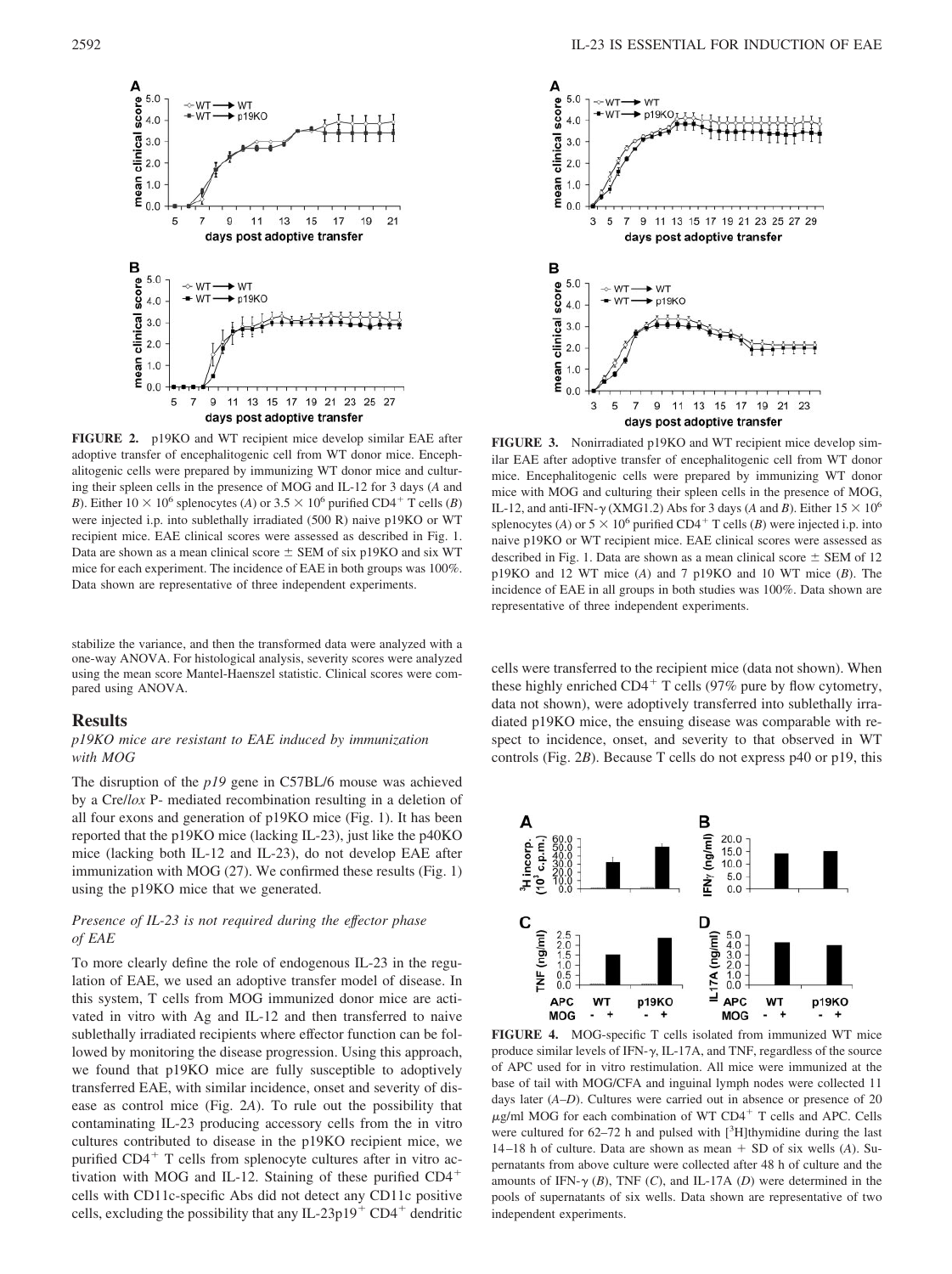

**FIGURE 2.** p19KO and WT recipient mice develop similar EAE after adoptive transfer of encephalitogenic cell from WT donor mice. Encephalitogenic cells were prepared by immunizing WT donor mice and culturing their spleen cells in the presence of MOG and IL-12 for 3 days (*A* and *B*). Either  $10 \times 10^6$  splenocytes (*A*) or  $3.5 \times 10^6$  purified CD4<sup>+</sup> T cells (*B*) were injected i.p. into sublethally irradiated (500 R) naive p19KO or WT recipient mice. EAE clinical scores were assessed as described in Fig. 1. Data are shown as a mean clinical score  $\pm$  SEM of six p19KO and six WT mice for each experiment. The incidence of EAE in both groups was 100%. Data shown are representative of three independent experiments.

stabilize the variance, and then the transformed data were analyzed with a one-way ANOVA. For histological analysis, severity scores were analyzed using the mean score Mantel-Haenszel statistic. Clinical scores were compared using ANOVA.

#### **Results**

# *p19KO mice are resistant to EAE induced by immunization with MOG*

The disruption of the *p19* gene in C57BL/6 mouse was achieved by a Cre/*lox* P- mediated recombination resulting in a deletion of all four exons and generation of p19KO mice (Fig. 1). It has been reported that the p19KO mice (lacking IL-23), just like the p40KO mice (lacking both IL-12 and IL-23), do not develop EAE after immunization with MOG (27). We confirmed these results (Fig. 1) using the p19KO mice that we generated.

# *Presence of IL-23 is not required during the effector phase of EAE*

To more clearly define the role of endogenous IL-23 in the regulation of EAE, we used an adoptive transfer model of disease. In this system, T cells from MOG immunized donor mice are activated in vitro with Ag and IL-12 and then transferred to naive sublethally irradiated recipients where effector function can be followed by monitoring the disease progression. Using this approach, we found that p19KO mice are fully susceptible to adoptively transferred EAE, with similar incidence, onset and severity of disease as control mice (Fig. 2*A*). To rule out the possibility that contaminating IL-23 producing accessory cells from the in vitro cultures contributed to disease in the p19KO recipient mice, we purified  $CD4<sup>+</sup>$  T cells from splenocyte cultures after in vitro activation with MOG and IL-12. Staining of these purified CD4 cells with CD11c-specific Abs did not detect any CD11c positive cells, excluding the possibility that any IL-23p19<sup>+</sup> CD4<sup>+</sup> dendritic



**FIGURE 3.** Nonirradiated p19KO and WT recipient mice develop similar EAE after adoptive transfer of encephalitogenic cell from WT donor mice. Encephalitogenic cells were prepared by immunizing WT donor mice with MOG and culturing their spleen cells in the presence of MOG, IL-12, and anti-IFN- $\gamma$  (XMG1.2) Abs for 3 days (*A* and *B*). Either  $15 \times 10^6$ splenocytes (*A*) or  $5 \times 10^6$  purified CD4<sup>+</sup> T cells (*B*) were injected i.p. into naive p19KO or WT recipient mice. EAE clinical scores were assessed as described in Fig. 1. Data are shown as a mean clinical score  $\pm$  SEM of 12 p19KO and 12 WT mice (*A*) and 7 p19KO and 10 WT mice (*B*). The incidence of EAE in all groups in both studies was 100%. Data shown are representative of three independent experiments.

cells were transferred to the recipient mice (data not shown). When these highly enriched  $CD4^+$  T cells (97% pure by flow cytometry, data not shown), were adoptively transferred into sublethally irradiated p19KO mice, the ensuing disease was comparable with respect to incidence, onset, and severity to that observed in WT controls (Fig. 2*B*). Because T cells do not express p40 or p19, this



**FIGURE 4.** MOG-specific T cells isolated from immunized WT mice produce similar levels of IFN- $\gamma$ , IL-17A, and TNF, regardless of the source of APC used for in vitro restimulation. All mice were immunized at the base of tail with MOG/CFA and inguinal lymph nodes were collected 11 days later (*A–D*). Cultures were carried out in absence or presence of 20  $\mu$ g/ml MOG for each combination of WT CD4<sup>+</sup> T cells and APC. Cells were cultured for  $62-72$  h and pulsed with  $[3H]$ thymidine during the last  $14-18$  h of culture. Data are shown as mean  $+$  SD of six wells (*A*). Supernatants from above culture were collected after 48 h of culture and the amounts of IFN- $\gamma$  (*B*), TNF (*C*), and IL-17A (*D*) were determined in the pools of supernatants of six wells. Data shown are representative of two independent experiments.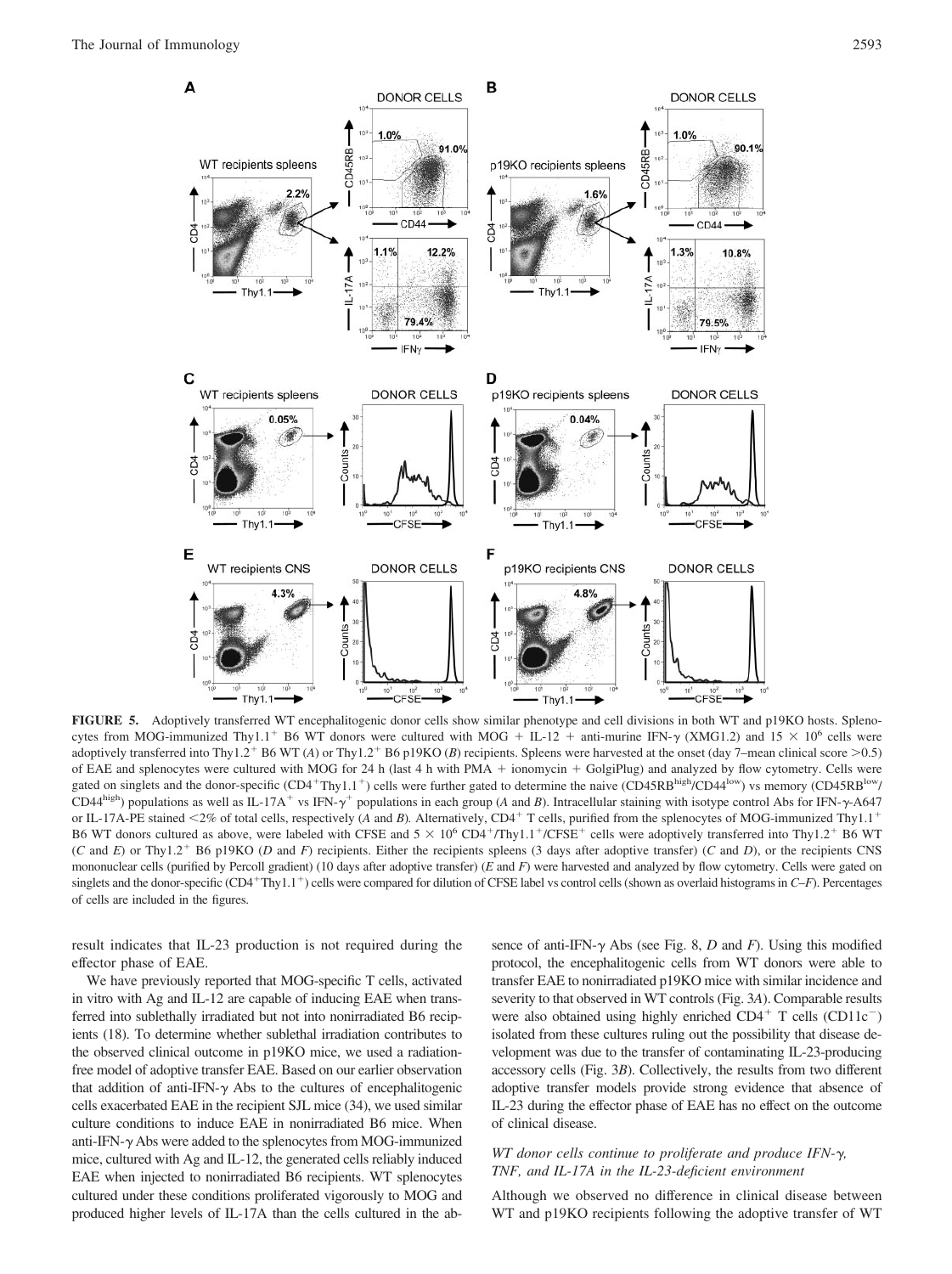

**FIGURE 5.** Adoptively transferred WT encephalitogenic donor cells show similar phenotype and cell divisions in both WT and p19KO hosts. Splenocytes from MOG-immunized Thy1.1<sup>+</sup> B6 WT donors were cultured with MOG + IL-12 + anti-murine IFN- $\gamma$  (XMG1.2) and 15  $\times$  10<sup>6</sup> cells were adoptively transferred into Thy1.2<sup>+</sup> B6 WT (*A*) or Thy1.2<sup>+</sup> B6 p19KO (*B*) recipients. Spleens were harvested at the onset (day 7–mean clinical score >0.5) of EAE and splenocytes were cultured with MOG for 24 h (last 4 h with PMA  $+$  ionomycin  $+$  GolgiPlug) and analyzed by flow cytometry. Cells were gated on singlets and the donor-specific (CD4<sup>+</sup>Thy1.1<sup>+</sup>) cells were further gated to determine the naive (CD45RB<sup>high</sup>/CD44<sup>low</sup>) vs memory (CD45RB<sup>high</sup>/ CD44<sup>high</sup>) populations as well as IL-17A<sup>+</sup> vs IFN- $\gamma$ <sup>+</sup> populations in each group (*A* and *B*). Intracellular staining with isotype control Abs for IFN- $\gamma$ -A647 or IL-17A-PE stained  $\langle 2\%$  of total cells, respectively (*A* and *B*). Alternatively, CD4<sup>+</sup> T cells, purified from the splenocytes of MOG-immunized Thy1.1<sup>+</sup> B6 WT donors cultured as above, were labeled with CFSE and  $5 \times 10^6$  CD4<sup>+</sup>/Thy1.1<sup>+</sup>/CFSE<sup>+</sup> cells were adoptively transferred into Thy1.2<sup>+</sup> B6 WT (*C* and *E*) or Thy1.2 B6 p19KO (*D* and *F*) recipients. Either the recipients spleens (3 days after adoptive transfer) (*C* and *D*), or the recipients CNS mononuclear cells (purified by Percoll gradient) (10 days after adoptive transfer) (*E* and *F*) were harvested and analyzed by flow cytometry. Cells were gated on singlets and the donor-specific (CD4<sup>+</sup>Thy1.1<sup>+</sup>) cells were compared for dilution of CFSE label vs control cells (shown as overlaid histograms in *C–F*). Percentages of cells are included in the figures.

result indicates that IL-23 production is not required during the effector phase of EAE.

We have previously reported that MOG-specific T cells, activated in vitro with Ag and IL-12 are capable of inducing EAE when transferred into sublethally irradiated but not into nonirradiated B6 recipients (18). To determine whether sublethal irradiation contributes to the observed clinical outcome in p19KO mice, we used a radiationfree model of adoptive transfer EAE. Based on our earlier observation that addition of anti-IFN- $\gamma$  Abs to the cultures of encephalitogenic cells exacerbated EAE in the recipient SJL mice (34), we used similar culture conditions to induce EAE in nonirradiated B6 mice. When anti-IFN- $\gamma$  Abs were added to the splenocytes from MOG-immunized mice, cultured with Ag and IL-12, the generated cells reliably induced EAE when injected to nonirradiated B6 recipients. WT splenocytes cultured under these conditions proliferated vigorously to MOG and produced higher levels of IL-17A than the cells cultured in the absence of anti-IFN- $\gamma$  Abs (see Fig. 8, *D* and *F*). Using this modified protocol, the encephalitogenic cells from WT donors were able to transfer EAE to nonirradiated p19KO mice with similar incidence and severity to that observed in WT controls (Fig. 3*A*). Comparable results were also obtained using highly enriched  $CD4^+$  T cells ( $CD11c^-$ ) isolated from these cultures ruling out the possibility that disease development was due to the transfer of contaminating IL-23-producing accessory cells (Fig. 3*B*). Collectively, the results from two different adoptive transfer models provide strong evidence that absence of IL-23 during the effector phase of EAE has no effect on the outcome of clinical disease.

#### *WT donor cells continue to proliferate and produce IFN-, TNF, and IL-17A in the IL-23-deficient environment*

Although we observed no difference in clinical disease between WT and p19KO recipients following the adoptive transfer of WT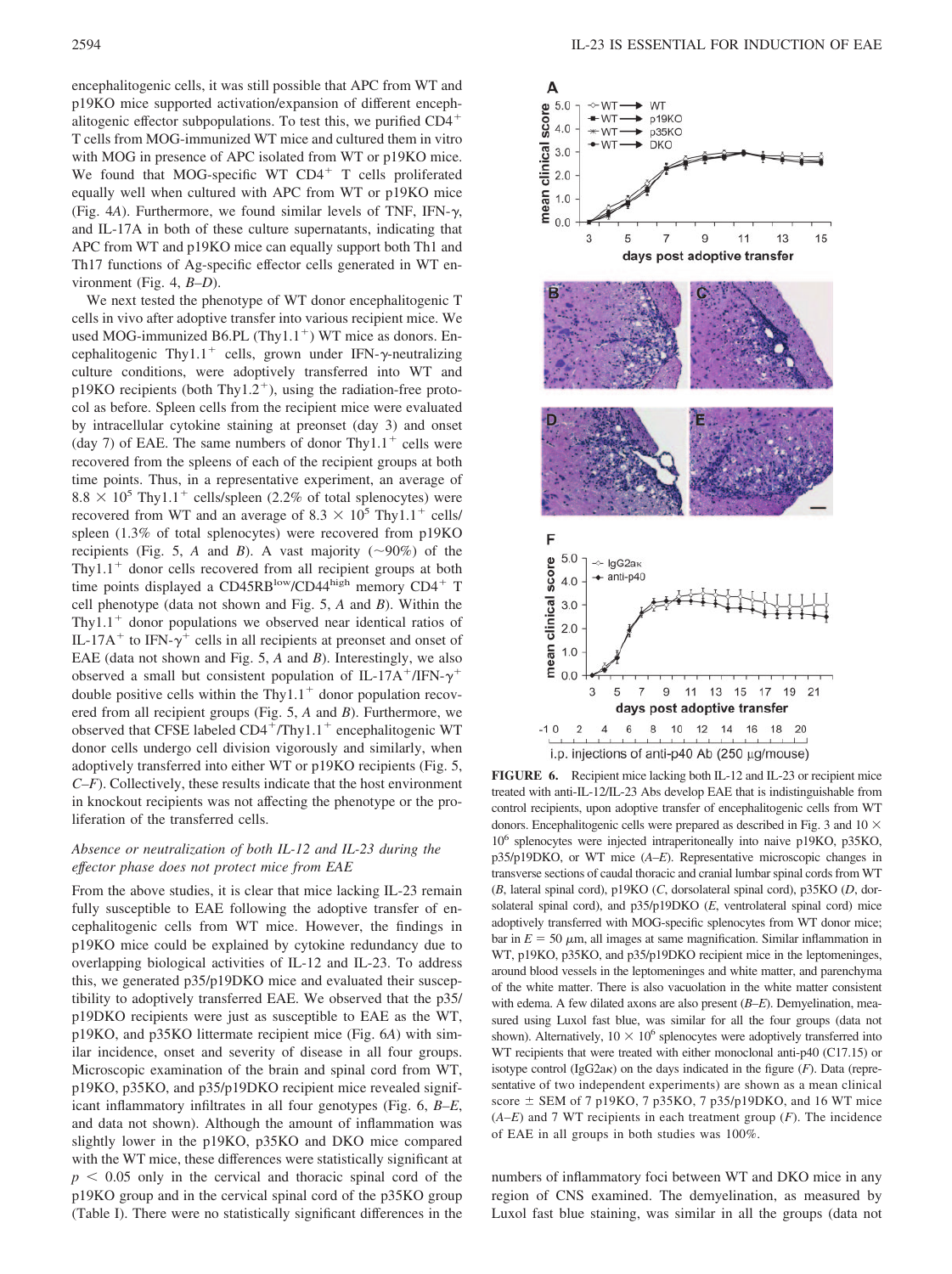encephalitogenic cells, it was still possible that APC from WT and p19KO mice supported activation/expansion of different encephalitogenic effector subpopulations. To test this, we purified CD4 T cells from MOG-immunized WT mice and cultured them in vitro with MOG in presence of APC isolated from WT or p19KO mice. We found that MOG-specific WT  $CD4<sup>+</sup>$  T cells proliferated equally well when cultured with APC from WT or p19KO mice (Fig.  $4A$ ). Furthermore, we found similar levels of TNF, IFN- $\gamma$ , and IL-17A in both of these culture supernatants, indicating that APC from WT and p19KO mice can equally support both Th1 and Th17 functions of Ag-specific effector cells generated in WT environment (Fig. 4, *B–D*).

We next tested the phenotype of WT donor encephalitogenic T cells in vivo after adoptive transfer into various recipient mice. We used MOG-immunized B6.PL (Thy1.1<sup>+</sup>) WT mice as donors. Encephalitogenic Thy1.1<sup>+</sup> cells, grown under IFN- $\gamma$ -neutralizing culture conditions, were adoptively transferred into WT and  $p19KO$  recipients (both Thy1.2<sup>+</sup>), using the radiation-free protocol as before. Spleen cells from the recipient mice were evaluated by intracellular cytokine staining at preonset (day 3) and onset (day 7) of EAE. The same numbers of donor Thy $1.1<sup>+</sup>$  cells were recovered from the spleens of each of the recipient groups at both time points. Thus, in a representative experiment, an average of  $8.8 \times 10^5$  Thy1.1<sup>+</sup> cells/spleen (2.2% of total splenocytes) were recovered from WT and an average of 8.3  $\times$  10<sup>5</sup> Thy1.1<sup>+</sup> cells/ spleen (1.3% of total splenocytes) were recovered from p19KO recipients (Fig. 5, *A* and *B*). A vast majority ( $\sim$ 90%) of the Thy $1.1<sup>+</sup>$  donor cells recovered from all recipient groups at both time points displayed a CD45RB<sup>low</sup>/CD44high memory CD4<sup>+</sup> T cell phenotype (data not shown and Fig. 5, *A* and *B*). Within the Thy1.1<sup> $+$ </sup> donor populations we observed near identical ratios of IL-17A<sup>+</sup> to IFN- $\gamma$ <sup>+</sup> cells in all recipients at preonset and onset of EAE (data not shown and Fig. 5, *A* and *B*). Interestingly, we also observed a small but consistent population of IL-17A<sup>+</sup>/IFN- $\gamma$ <sup>+</sup> double positive cells within the Thy $1.1<sup>+</sup>$  donor population recovered from all recipient groups (Fig. 5, *A* and *B*). Furthermore, we observed that CFSE labeled  $CD4+/Thy1.1+$  encephalitogenic WT donor cells undergo cell division vigorously and similarly, when adoptively transferred into either WT or p19KO recipients (Fig. 5, *C–F*). Collectively, these results indicate that the host environment in knockout recipients was not affecting the phenotype or the proliferation of the transferred cells.

# *Absence or neutralization of both IL-12 and IL-23 during the effector phase does not protect mice from EAE*

From the above studies, it is clear that mice lacking IL-23 remain fully susceptible to EAE following the adoptive transfer of encephalitogenic cells from WT mice. However, the findings in p19KO mice could be explained by cytokine redundancy due to overlapping biological activities of IL-12 and IL-23. To address this, we generated p35/p19DKO mice and evaluated their susceptibility to adoptively transferred EAE. We observed that the p35/ p19DKO recipients were just as susceptible to EAE as the WT, p19KO, and p35KO littermate recipient mice (Fig. 6*A*) with similar incidence, onset and severity of disease in all four groups. Microscopic examination of the brain and spinal cord from WT, p19KO, p35KO, and p35/p19DKO recipient mice revealed significant inflammatory infiltrates in all four genotypes (Fig. 6, *B–E*, and data not shown). Although the amount of inflammation was slightly lower in the p19KO, p35KO and DKO mice compared with the WT mice, these differences were statistically significant at  $p < 0.05$  only in the cervical and thoracic spinal cord of the p19KO group and in the cervical spinal cord of the p35KO group (Table I). There were no statistically significant differences in the



**FIGURE 6.** Recipient mice lacking both IL-12 and IL-23 or recipient mice treated with anti-IL-12/IL-23 Abs develop EAE that is indistinguishable from control recipients, upon adoptive transfer of encephalitogenic cells from WT donors. Encephalitogenic cells were prepared as described in Fig. 3 and  $10 \times$ 106 splenocytes were injected intraperitoneally into naive p19KO, p35KO, p35/p19DKO, or WT mice (*A–E*). Representative microscopic changes in transverse sections of caudal thoracic and cranial lumbar spinal cords from WT (*B*, lateral spinal cord), p19KO (*C*, dorsolateral spinal cord), p35KO (*D*, dorsolateral spinal cord), and p35/p19DKO (*E*, ventrolateral spinal cord) mice adoptively transferred with MOG-specific splenocytes from WT donor mice; bar in  $E = 50 \mu m$ , all images at same magnification. Similar inflammation in WT, p19KO, p35KO, and p35/p19DKO recipient mice in the leptomeninges, around blood vessels in the leptomeninges and white matter, and parenchyma of the white matter. There is also vacuolation in the white matter consistent with edema. A few dilated axons are also present (*B–E*). Demyelination, measured using Luxol fast blue, was similar for all the four groups (data not shown). Alternatively,  $10 \times 10^6$  splenocytes were adoptively transferred into WT recipients that were treated with either monoclonal anti-p40 (C17.15) or isotype control (IgG2a $\kappa$ ) on the days indicated in the figure ( $F$ ). Data (representative of two independent experiments) are shown as a mean clinical score  $\pm$  SEM of 7 p19KO, 7 p35KO, 7 p35/p19DKO, and 16 WT mice  $(A-E)$  and 7 WT recipients in each treatment group  $(F)$ . The incidence of EAE in all groups in both studies was 100%.

numbers of inflammatory foci between WT and DKO mice in any region of CNS examined. The demyelination, as measured by Luxol fast blue staining, was similar in all the groups (data not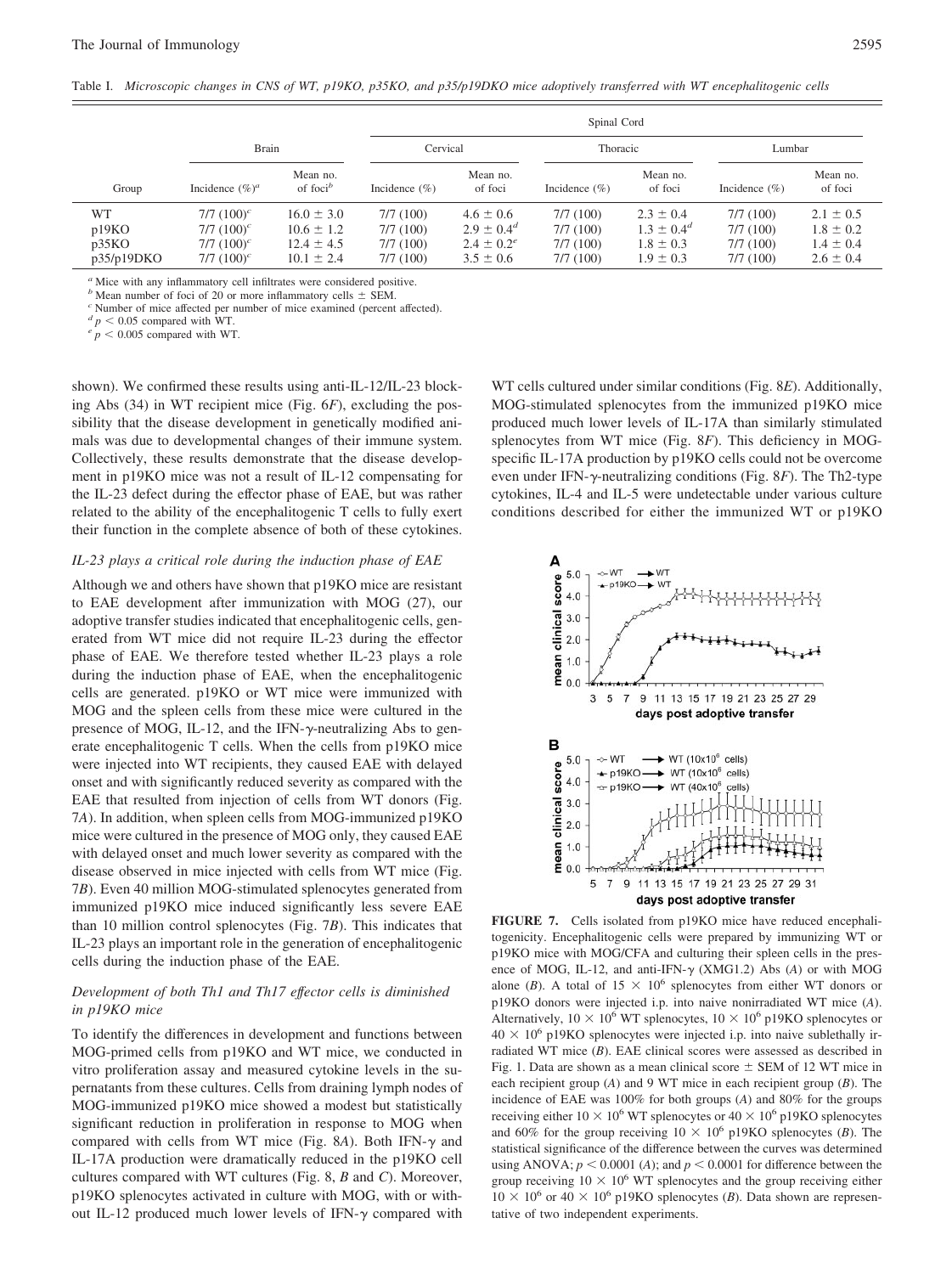|            |                    |                                               | Spinal Cord       |                     |                   |                     |                   |                     |
|------------|--------------------|-----------------------------------------------|-------------------|---------------------|-------------------|---------------------|-------------------|---------------------|
|            | <b>Brain</b>       |                                               | Cervical          |                     | Thoracic          |                     | Lumbar            |                     |
| Group      | Incidence $(\%)^a$ | Mean no.<br>of foci <sup><math>b</math></sup> | Incidence $(\% )$ | Mean no.<br>of foci | Incidence $(\% )$ | Mean no.<br>of foci | Incidence $(\% )$ | Mean no.<br>of foci |
| WT         | $7/7$ $(100)^c$    | $16.0 \pm 3.0$                                | 7/7(100)          | $4.6 \pm 0.6$       | 7/7(100)          | $2.3 \pm 0.4$       | 7/7(100)          | $2.1 \pm 0.5$       |
| p19KO      | $7/7$ $(100)^c$    | $10.6 \pm 1.2$                                | 7/7(100)          | $2.9 \pm 0.4^d$     | 7/7(100)          | $1.3 \pm 0.4^d$     | 7/7(100)          | $1.8 \pm 0.2$       |
| p35KO      | $7/7$ $(100)^c$    | $12.4 \pm 4.5$                                | 7/7(100)          | $2.4 \pm 0.2^e$     | 7/7(100)          | $1.8 \pm 0.3$       | 7/7(100)          | $1.4 \pm 0.4$       |
| p35/p19DKO | 7/7 $(100)^c$      | $10.1 \pm 2.4$                                | 7/7(100)          | $3.5 \pm 0.6$       | 7/7(100)          | $1.9 \pm 0.3$       | 7/7(100)          | $2.6 \pm 0.4$       |

*<sup>a</sup>* Mice with any inflammatory cell infiltrates were considered positive.

*b* Mean number of foci of 20 or more inflammatory cells  $\pm$  SEM. *c* Number of mice affected per number of mice examined (percent affected). *d*  $p < 0.05$  compared with WT.

 $\frac{e}{p}$  < 0.005 compared with WT.

shown). We confirmed these results using anti-IL-12/IL-23 blocking Abs (34) in WT recipient mice (Fig. 6*F*), excluding the possibility that the disease development in genetically modified animals was due to developmental changes of their immune system. Collectively, these results demonstrate that the disease development in p19KO mice was not a result of IL-12 compensating for the IL-23 defect during the effector phase of EAE, but was rather related to the ability of the encephalitogenic T cells to fully exert their function in the complete absence of both of these cytokines.

## *IL-23 plays a critical role during the induction phase of EAE*

Although we and others have shown that p19KO mice are resistant to EAE development after immunization with MOG (27), our adoptive transfer studies indicated that encephalitogenic cells, generated from WT mice did not require IL-23 during the effector phase of EAE. We therefore tested whether IL-23 plays a role during the induction phase of EAE, when the encephalitogenic cells are generated. p19KO or WT mice were immunized with MOG and the spleen cells from these mice were cultured in the presence of MOG, IL-12, and the IFN- $\gamma$ -neutralizing Abs to generate encephalitogenic T cells. When the cells from p19KO mice were injected into WT recipients, they caused EAE with delayed onset and with significantly reduced severity as compared with the EAE that resulted from injection of cells from WT donors (Fig. 7*A*). In addition, when spleen cells from MOG-immunized p19KO mice were cultured in the presence of MOG only, they caused EAE with delayed onset and much lower severity as compared with the disease observed in mice injected with cells from WT mice (Fig. 7*B*). Even 40 million MOG-stimulated splenocytes generated from immunized p19KO mice induced significantly less severe EAE than 10 million control splenocytes (Fig. 7*B*). This indicates that IL-23 plays an important role in the generation of encephalitogenic cells during the induction phase of the EAE.

#### *Development of both Th1 and Th17 effector cells is diminished in p19KO mice*

To identify the differences in development and functions between MOG-primed cells from p19KO and WT mice, we conducted in vitro proliferation assay and measured cytokine levels in the supernatants from these cultures. Cells from draining lymph nodes of MOG-immunized p19KO mice showed a modest but statistically significant reduction in proliferation in response to MOG when compared with cells from WT mice (Fig. 8A). Both IFN- $\gamma$  and IL-17A production were dramatically reduced in the p19KO cell cultures compared with WT cultures (Fig. 8, *B* and *C*). Moreover, p19KO splenocytes activated in culture with MOG, with or without IL-12 produced much lower levels of IFN- $\gamma$  compared with WT cells cultured under similar conditions (Fig. 8*E*). Additionally, MOG-stimulated splenocytes from the immunized p19KO mice produced much lower levels of IL-17A than similarly stimulated splenocytes from WT mice (Fig. 8*F*). This deficiency in MOGspecific IL-17A production by p19KO cells could not be overcome even under IFN- $\gamma$ -neutralizing conditions (Fig. 8*F*). The Th2-type cytokines, IL-4 and IL-5 were undetectable under various culture conditions described for either the immunized WT or p19KO



**FIGURE 7.** Cells isolated from p19KO mice have reduced encephalitogenicity. Encephalitogenic cells were prepared by immunizing WT or p19KO mice with MOG/CFA and culturing their spleen cells in the presence of MOG, IL-12, and anti-IFN- $\gamma$  (XMG1.2) Abs (A) or with MOG alone (*B*). A total of  $15 \times 10^6$  splenocytes from either WT donors or p19KO donors were injected i.p. into naive nonirradiated WT mice (*A*). Alternatively,  $10 \times 10^6$  WT splenocytes,  $10 \times 10^6$  p19KO splenocytes or  $40 \times 10^6$  p19KO splenocytes were injected i.p. into naive sublethally irradiated WT mice (*B*). EAE clinical scores were assessed as described in Fig. 1. Data are shown as a mean clinical score  $\pm$  SEM of 12 WT mice in each recipient group (*A*) and 9 WT mice in each recipient group (*B*). The incidence of EAE was 100% for both groups (*A*) and 80% for the groups receiving either  $10 \times 10^6$  WT splenocytes or  $40 \times 10^6$  p19KO splenocytes and 60% for the group receiving  $10 \times 10^6$  p19KO splenocytes (*B*). The statistical significance of the difference between the curves was determined using ANOVA;  $p < 0.0001$  (*A*); and  $p < 0.0001$  for difference between the group receiving  $10 \times 10^6$  WT splenocytes and the group receiving either  $10 \times 10^6$  or  $40 \times 10^6$  p19KO splenocytes (*B*). Data shown are representative of two independent experiments.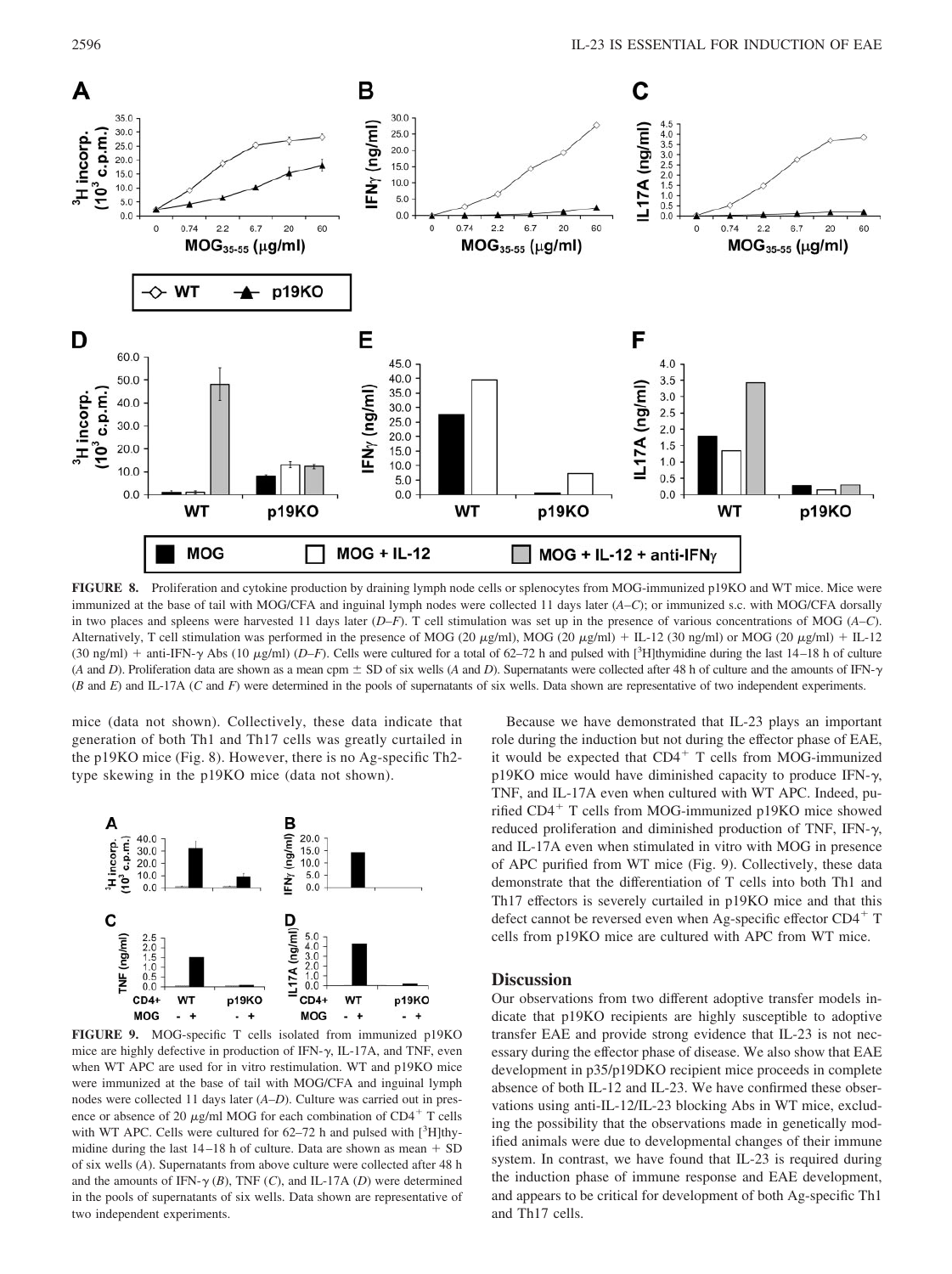

**FIGURE 8.** Proliferation and cytokine production by draining lymph node cells or splenocytes from MOG-immunized p19KO and WT mice. Mice were immunized at the base of tail with MOG/CFA and inguinal lymph nodes were collected 11 days later (*A–C*); or immunized s.c. with MOG/CFA dorsally in two places and spleens were harvested 11 days later (*D–F*). T cell stimulation was set up in the presence of various concentrations of MOG (*A–C*). Alternatively, T cell stimulation was performed in the presence of MOG (20  $\mu\text{g/ml}$ ), MOG (20  $\mu\text{g/ml}$ ) + IL-12 (30 ng/ml) or MOG (20  $\mu\text{g/ml}$ ) + IL-12 (30 ng/ml) + anti-IFN- $\gamma$  Abs (10  $\mu$ g/ml) (*D–F*). Cells were cultured for a total of 62–72 h and pulsed with [<sup>3</sup>H]thymidine during the last 14–18 h of culture (*A* and *D*). Proliferation data are shown as a mean cpm  $\pm$  SD of six wells (*A* and *D*). Supernatants were collected after 48 h of culture and the amounts of IFN- $\gamma$ (*B* and *E*) and IL-17A (*C* and *F*) were determined in the pools of supernatants of six wells. Data shown are representative of two independent experiments.

mice (data not shown). Collectively, these data indicate that generation of both Th1 and Th17 cells was greatly curtailed in the p19KO mice (Fig. 8). However, there is no Ag-specific Th2 type skewing in the p19KO mice (data not shown).



**FIGURE 9.** MOG-specific T cells isolated from immunized p19KO mice are highly defective in production of IFN- $\gamma$ , IL-17A, and TNF, even when WT APC are used for in vitro restimulation. WT and p19KO mice were immunized at the base of tail with MOG/CFA and inguinal lymph nodes were collected 11 days later (*A–D*). Culture was carried out in presence or absence of 20  $\mu$ g/ml MOG for each combination of CD4<sup>+</sup> T cells with WT APC. Cells were cultured for  $62-72$  h and pulsed with  $[^{3}H]$ thymidine during the last  $14-18$  h of culture. Data are shown as mean  $+$  SD of six wells (*A*). Supernatants from above culture were collected after 48 h and the amounts of IFN- $\gamma$  (*B*), TNF (*C*), and IL-17A (*D*) were determined in the pools of supernatants of six wells. Data shown are representative of two independent experiments.

Because we have demonstrated that IL-23 plays an important role during the induction but not during the effector phase of EAE, it would be expected that  $CD4^+$  T cells from MOG-immunized  $p19KO$  mice would have diminished capacity to produce IFN- $\gamma$ , TNF, and IL-17A even when cultured with WT APC. Indeed, purified  $CD4^+$  T cells from MOG-immunized p19KO mice showed reduced proliferation and diminished production of TNF, IFN- $\gamma$ , and IL-17A even when stimulated in vitro with MOG in presence of APC purified from WT mice (Fig. 9). Collectively, these data demonstrate that the differentiation of T cells into both Th1 and Th17 effectors is severely curtailed in p19KO mice and that this defect cannot be reversed even when Ag-specific effector CD4<sup>+</sup> T cells from p19KO mice are cultured with APC from WT mice.

# **Discussion**

Our observations from two different adoptive transfer models indicate that p19KO recipients are highly susceptible to adoptive transfer EAE and provide strong evidence that IL-23 is not necessary during the effector phase of disease. We also show that EAE development in p35/p19DKO recipient mice proceeds in complete absence of both IL-12 and IL-23. We have confirmed these observations using anti-IL-12/IL-23 blocking Abs in WT mice, excluding the possibility that the observations made in genetically modified animals were due to developmental changes of their immune system. In contrast, we have found that IL-23 is required during the induction phase of immune response and EAE development, and appears to be critical for development of both Ag-specific Th1 and Th17 cells.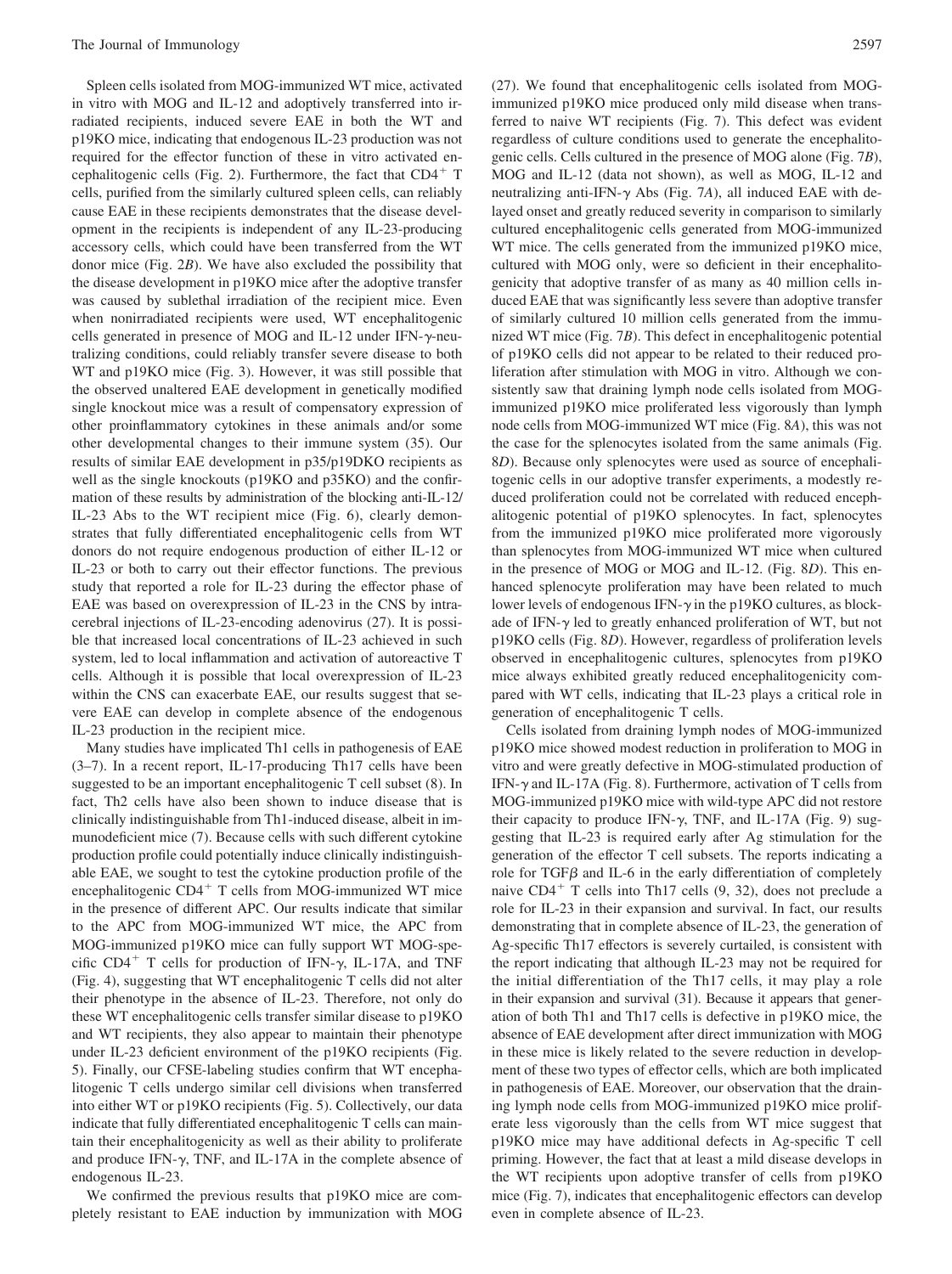Spleen cells isolated from MOG-immunized WT mice, activated in vitro with MOG and IL-12 and adoptively transferred into irradiated recipients, induced severe EAE in both the WT and p19KO mice, indicating that endogenous IL-23 production was not required for the effector function of these in vitro activated encephalitogenic cells (Fig. 2). Furthermore, the fact that  $CD4^+$  T cells, purified from the similarly cultured spleen cells, can reliably cause EAE in these recipients demonstrates that the disease development in the recipients is independent of any IL-23-producing accessory cells, which could have been transferred from the WT donor mice (Fig. 2*B*). We have also excluded the possibility that the disease development in p19KO mice after the adoptive transfer was caused by sublethal irradiation of the recipient mice. Even when nonirradiated recipients were used, WT encephalitogenic cells generated in presence of MOG and IL-12 under IFN- $\gamma$ -neutralizing conditions, could reliably transfer severe disease to both WT and p19KO mice (Fig. 3). However, it was still possible that the observed unaltered EAE development in genetically modified single knockout mice was a result of compensatory expression of other proinflammatory cytokines in these animals and/or some other developmental changes to their immune system (35). Our results of similar EAE development in p35/p19DKO recipients as well as the single knockouts (p19KO and p35KO) and the confirmation of these results by administration of the blocking anti-IL-12/ IL-23 Abs to the WT recipient mice (Fig. 6), clearly demonstrates that fully differentiated encephalitogenic cells from WT donors do not require endogenous production of either IL-12 or IL-23 or both to carry out their effector functions. The previous study that reported a role for IL-23 during the effector phase of EAE was based on overexpression of IL-23 in the CNS by intracerebral injections of IL-23-encoding adenovirus (27). It is possible that increased local concentrations of IL-23 achieved in such system, led to local inflammation and activation of autoreactive T cells. Although it is possible that local overexpression of IL-23 within the CNS can exacerbate EAE, our results suggest that severe EAE can develop in complete absence of the endogenous IL-23 production in the recipient mice.

Many studies have implicated Th1 cells in pathogenesis of EAE (3–7). In a recent report, IL-17-producing Th17 cells have been suggested to be an important encephalitogenic T cell subset (8). In fact, Th2 cells have also been shown to induce disease that is clinically indistinguishable from Th1-induced disease, albeit in immunodeficient mice (7). Because cells with such different cytokine production profile could potentially induce clinically indistinguishable EAE, we sought to test the cytokine production profile of the encephalitogenic  $CD4^+$  T cells from MOG-immunized WT mice in the presence of different APC. Our results indicate that similar to the APC from MOG-immunized WT mice, the APC from MOG-immunized p19KO mice can fully support WT MOG-specific CD4<sup>+</sup> T cells for production of IFN- $\gamma$ , IL-17A, and TNF (Fig. 4), suggesting that WT encephalitogenic T cells did not alter their phenotype in the absence of IL-23. Therefore, not only do these WT encephalitogenic cells transfer similar disease to p19KO and WT recipients, they also appear to maintain their phenotype under IL-23 deficient environment of the p19KO recipients (Fig. 5). Finally, our CFSE-labeling studies confirm that WT encephalitogenic T cells undergo similar cell divisions when transferred into either WT or p19KO recipients (Fig. 5). Collectively, our data indicate that fully differentiated encephalitogenic T cells can maintain their encephalitogenicity as well as their ability to proliferate and produce IFN- $\gamma$ , TNF, and IL-17A in the complete absence of endogenous IL-23.

We confirmed the previous results that p19KO mice are completely resistant to EAE induction by immunization with MOG (27). We found that encephalitogenic cells isolated from MOGimmunized p19KO mice produced only mild disease when transferred to naive WT recipients (Fig. 7). This defect was evident regardless of culture conditions used to generate the encephalitogenic cells. Cells cultured in the presence of MOG alone (Fig. 7*B*), MOG and IL-12 (data not shown), as well as MOG, IL-12 and neutralizing anti-IFN- $\gamma$  Abs (Fig. 7A), all induced EAE with delayed onset and greatly reduced severity in comparison to similarly cultured encephalitogenic cells generated from MOG-immunized WT mice. The cells generated from the immunized p19KO mice, cultured with MOG only, were so deficient in their encephalitogenicity that adoptive transfer of as many as 40 million cells induced EAE that was significantly less severe than adoptive transfer of similarly cultured 10 million cells generated from the immunized WT mice (Fig. 7*B*). This defect in encephalitogenic potential of p19KO cells did not appear to be related to their reduced proliferation after stimulation with MOG in vitro. Although we consistently saw that draining lymph node cells isolated from MOGimmunized p19KO mice proliferated less vigorously than lymph node cells from MOG-immunized WT mice (Fig. 8*A*), this was not the case for the splenocytes isolated from the same animals (Fig. 8*D*). Because only splenocytes were used as source of encephalitogenic cells in our adoptive transfer experiments, a modestly reduced proliferation could not be correlated with reduced encephalitogenic potential of p19KO splenocytes. In fact, splenocytes from the immunized p19KO mice proliferated more vigorously than splenocytes from MOG-immunized WT mice when cultured in the presence of MOG or MOG and IL-12. (Fig. 8*D*). This enhanced splenocyte proliferation may have been related to much lower levels of endogenous IFN- $\gamma$  in the p19KO cultures, as blockade of IFN- $\gamma$  led to greatly enhanced proliferation of WT, but not p19KO cells (Fig. 8*D*). However, regardless of proliferation levels observed in encephalitogenic cultures, splenocytes from p19KO mice always exhibited greatly reduced encephalitogenicity compared with WT cells, indicating that IL-23 plays a critical role in generation of encephalitogenic T cells.

Cells isolated from draining lymph nodes of MOG-immunized p19KO mice showed modest reduction in proliferation to MOG in vitro and were greatly defective in MOG-stimulated production of IFN- $\gamma$  and IL-17A (Fig. 8). Furthermore, activation of T cells from MOG-immunized p19KO mice with wild-type APC did not restore their capacity to produce IFN- $\gamma$ , TNF, and IL-17A (Fig. 9) suggesting that IL-23 is required early after Ag stimulation for the generation of the effector T cell subsets. The reports indicating a role for TGF $\beta$  and IL-6 in the early differentiation of completely naive  $CD4^+$  T cells into Th17 cells  $(9, 32)$ , does not preclude a role for IL-23 in their expansion and survival. In fact, our results demonstrating that in complete absence of IL-23, the generation of Ag-specific Th17 effectors is severely curtailed, is consistent with the report indicating that although IL-23 may not be required for the initial differentiation of the Th17 cells, it may play a role in their expansion and survival (31). Because it appears that generation of both Th1 and Th17 cells is defective in p19KO mice, the absence of EAE development after direct immunization with MOG in these mice is likely related to the severe reduction in development of these two types of effector cells, which are both implicated in pathogenesis of EAE. Moreover, our observation that the draining lymph node cells from MOG-immunized p19KO mice proliferate less vigorously than the cells from WT mice suggest that p19KO mice may have additional defects in Ag-specific T cell priming. However, the fact that at least a mild disease develops in the WT recipients upon adoptive transfer of cells from p19KO mice (Fig. 7), indicates that encephalitogenic effectors can develop even in complete absence of IL-23.